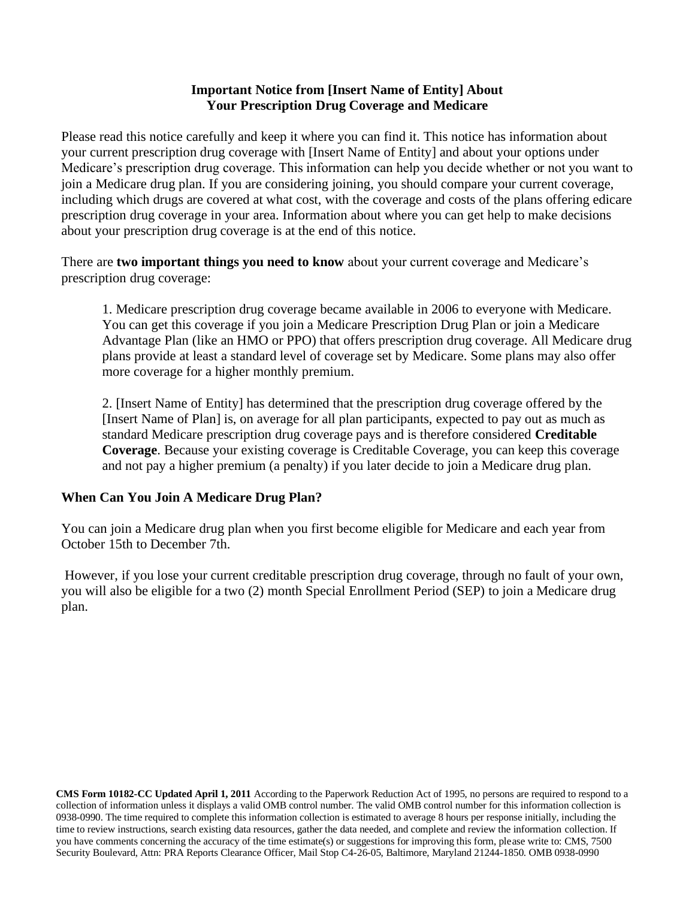#### **Important Notice from [Insert Name of Entity] About Your Prescription Drug Coverage and Medicare**

Please read this notice carefully and keep it where you can find it. This notice has information about your current prescription drug coverage with [Insert Name of Entity] and about your options under Medicare's prescription drug coverage. This information can help you decide whether or not you want to join a Medicare drug plan. If you are considering joining, you should compare your current coverage, including which drugs are covered at what cost, with the coverage and costs of the plans offering edicare prescription drug coverage in your area. Information about where you can get help to make decisions about your prescription drug coverage is at the end of this notice.

There are **two important things you need to know** about your current coverage and Medicare's prescription drug coverage:

1. Medicare prescription drug coverage became available in 2006 to everyone with Medicare. You can get this coverage if you join a Medicare Prescription Drug Plan or join a Medicare Advantage Plan (like an HMO or PPO) that offers prescription drug coverage. All Medicare drug plans provide at least a standard level of coverage set by Medicare. Some plans may also offer more coverage for a higher monthly premium.

2. [Insert Name of Entity] has determined that the prescription drug coverage offered by the [Insert Name of Plan] is, on average for all plan participants, expected to pay out as much as standard Medicare prescription drug coverage pays and is therefore considered **Creditable Coverage**. Because your existing coverage is Creditable Coverage, you can keep this coverage and not pay a higher premium (a penalty) if you later decide to join a Medicare drug plan.

# **When Can You Join A Medicare Drug Plan?**

You can join a Medicare drug plan when you first become eligible for Medicare and each year from October 15th to December 7th.

However, if you lose your current creditable prescription drug coverage, through no fault of your own, you will also be eligible for a two (2) month Special Enrollment Period (SEP) to join a Medicare drug plan.

**CMS Form 10182-CC Updated April 1, 2011** According to the Paperwork Reduction Act of 1995, no persons are required to respond to a collection of information unless it displays a valid OMB control number. The valid OMB control number for this information collection is 0938-0990. The time required to complete this information collection is estimated to average 8 hours per response initially, including the time to review instructions, search existing data resources, gather the data needed, and complete and review the information collection. If you have comments concerning the accuracy of the time estimate(s) or suggestions for improving this form, please write to: CMS, 7500 Security Boulevard, Attn: PRA Reports Clearance Officer, Mail Stop C4-26-05, Baltimore, Maryland 21244-1850. OMB 0938-0990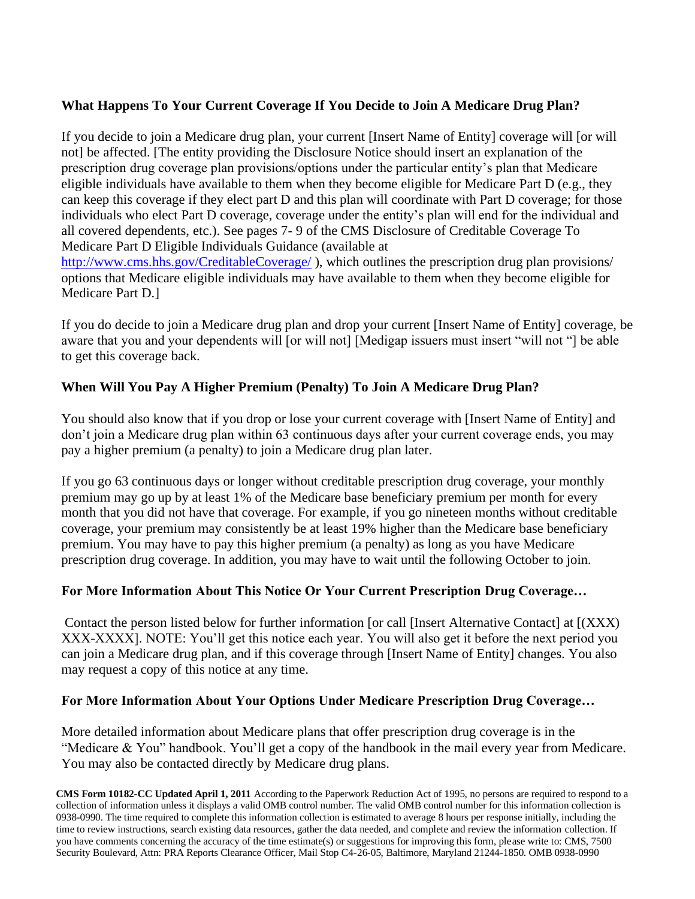## **What Happens To Your Current Coverage If You Decide to Join A Medicare Drug Plan?**

If you decide to join a Medicare drug plan, your current [Insert Name of Entity] coverage will [or will not] be affected. [The entity providing the Disclosure Notice should insert an explanation of the prescription drug coverage plan provisions/options under the particular entity's plan that Medicare eligible individuals have available to them when they become eligible for Medicare Part D (e.g., they can keep this coverage if they elect part D and this plan will coordinate with Part D coverage; for those individuals who elect Part D coverage, coverage under the entity's plan will end for the individual and all covered dependents, etc.). See pages 7- 9 of the CMS Disclosure of Creditable Coverage To Medicare Part D Eligible Individuals Guidance (available at <http://www.cms.hhs.gov/CreditableCoverage/>), which outlines the prescription drug plan provisions/ options that Medicare eligible individuals may have available to them when they become eligible for Medicare Part D.]

If you do decide to join a Medicare drug plan and drop your current [Insert Name of Entity] coverage, be aware that you and your dependents will [or will not] [Medigap issuers must insert "will not "] be able to get this coverage back.

# **When Will You Pay A Higher Premium (Penalty) To Join A Medicare Drug Plan?**

You should also know that if you drop or lose your current coverage with [Insert Name of Entity] and don't join a Medicare drug plan within 63 continuous days after your current coverage ends, you may pay a higher premium (a penalty) to join a Medicare drug plan later.

If you go 63 continuous days or longer without creditable prescription drug coverage, your monthly premium may go up by at least 1% of the Medicare base beneficiary premium per month for every month that you did not have that coverage. For example, if you go nineteen months without creditable coverage, your premium may consistently be at least 19% higher than the Medicare base beneficiary premium. You may have to pay this higher premium (a penalty) as long as you have Medicare prescription drug coverage. In addition, you may have to wait until the following October to join.

### **For More Information About This Notice Or Your Current Prescription Drug Coverage…**

Contact the person listed below for further information [or call [Insert Alternative Contact] at [(XXX) XXX-XXXX]. NOTE: You'll get this notice each year. You will also get it before the next period you can join a Medicare drug plan, and if this coverage through [Insert Name of Entity] changes. You also may request a copy of this notice at any time.

#### **For More Information About Your Options Under Medicare Prescription Drug Coverage…**

More detailed information about Medicare plans that offer prescription drug coverage is in the "Medicare & You" handbook. You'll get a copy of the handbook in the mail every year from Medicare. You may also be contacted directly by Medicare drug plans.

**CMS Form 10182-CC Updated April 1, 2011** According to the Paperwork Reduction Act of 1995, no persons are required to respond to a collection of information unless it displays a valid OMB control number. The valid OMB control number for this information collection is 0938-0990. The time required to complete this information collection is estimated to average 8 hours per response initially, including the time to review instructions, search existing data resources, gather the data needed, and complete and review the information collection. If you have comments concerning the accuracy of the time estimate(s) or suggestions for improving this form, please write to: CMS, 7500 Security Boulevard, Attn: PRA Reports Clearance Officer, Mail Stop C4-26-05, Baltimore, Maryland 21244-1850. OMB 0938-0990